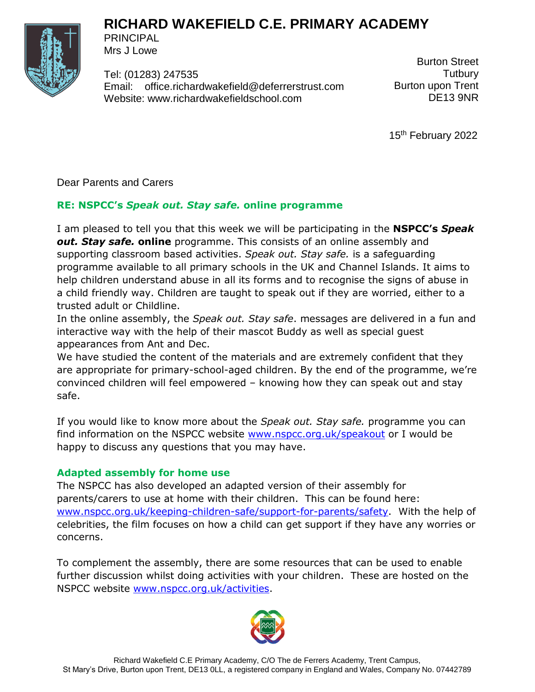



PRINCIPAL Mrs J Lowe

Tel: (01283) 247535 Email: [office.richardwakefield@deferrerstrust.com](mailto:office.richardwakefield@deferrerstrust.com) Website: www.richardwakefieldschool.com

Burton Street **Tutbury** Burton upon Trent DE13 9NR

15<sup>th</sup> February 2022

Dear Parents and Carers

# **RE: NSPCC's** *Speak out. Stay safe.* **online programme**

I am pleased to tell you that this week we will be participating in the **NSPCC's** *Speak out. Stay safe.* **online** programme. This consists of an online assembly and supporting classroom based activities. *Speak out. Stay safe.* is a safeguarding programme available to all primary schools in the UK and Channel Islands. It aims to help children understand abuse in all its forms and to recognise the signs of abuse in a child friendly way. Children are taught to speak out if they are worried, either to a trusted adult or Childline.

In the online assembly, the *Speak out. Stay safe*. messages are delivered in a fun and interactive way with the help of their mascot Buddy as well as special guest appearances from Ant and Dec.

We have studied the content of the materials and are extremely confident that they are appropriate for primary-school-aged children. By the end of the programme, we're convinced children will feel empowered – knowing how they can speak out and stay safe.

If you would like to know more about the *Speak out. Stay safe.* programme you can find information on the NSPCC website [www.nspcc.org.uk/speakout](http://www.nspcc.org.uk/speakout) or I would be happy to discuss any questions that you may have.

# **Adapted assembly for home use**

The NSPCC has also developed an adapted version of their assembly for parents/carers to use at home with their children.This can be found here: [www.nspcc.org.uk/keeping-children-safe/support-for-parents/safety.](http://www.nspcc.org.uk/keeping-children-safe/support-for-parents/safety) With the help of celebrities, the film focuses on how a child can get support if they have any worries or concerns.

To complement the assembly, there are some resources that can be used to enable further discussion whilst doing activities with your children. These are hosted on the NSPCC website [www.nspcc.org.uk/activities.](http://www.nspcc.org.uk/activities)